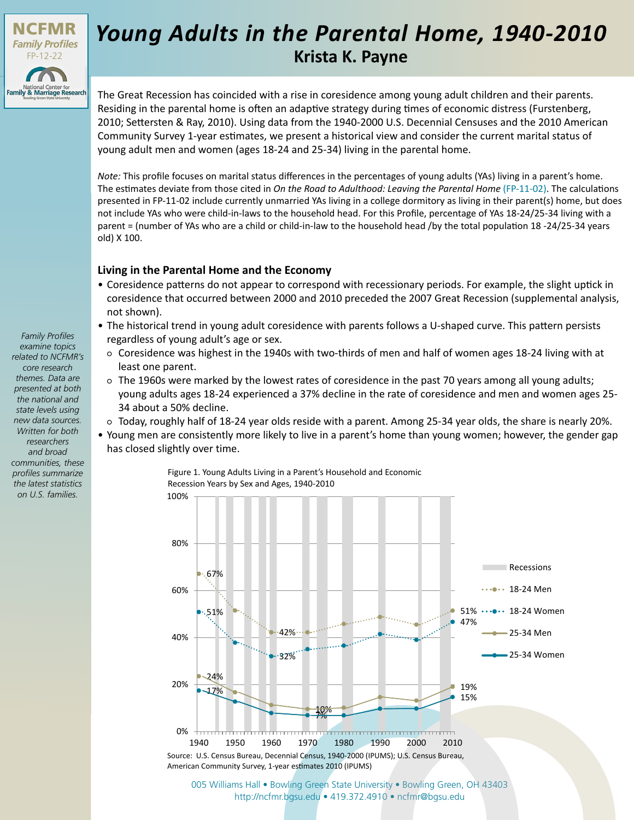

## **Krista K. Payne** *Young Adults in the Parental Home, 1940-2010*

The Great Recession has coincided with a rise in coresidence among young adult children and their parents. Residing in the parental home is often an adaptive strategy during times of economic distress (Furstenberg, 2010; Settersten & Ray, 2010). Using data from the 1940-2000 U.S. Decennial Censuses and the 2010 American Community Survey 1-year estimates, we present a historical view and consider the current marital status of young adult men and women (ages 18-24 and 25-34) living in the parental home.

*Note:* This profile focuses on marital status differences in the percentages of young adults (YAs) living in a parent's home. The estimates deviate from those cited in *On the Road to Adulthood: Leaving the Parental Home* [\(FP-11-02\).](http://ncfmr.bgsu.edu/pdf/family_profiles/file98800.pdf) The calculations presented in FP-11-02 include currently unmarried YAs living in a college dormitory as living in their parent(s) home, but does not include YAs who were child-in-laws to the household head. For this Profile, percentage of YAs 18-24/25-34 living with a parent = (number of YAs who are a child or child-in-law to the household head /by the total population 18 -24/25-34 years old) X 100.

## **Living in the Parental Home and the Economy**

- Coresidence patterns do not appear to correspond with recessionary periods. For example, the slight uptick in coresidence that occurred between 2000 and 2010 preceded the 2007 Great Recession (supplemental analysis, not shown).
- The historical trend in young adult coresidence with parents follows a U-shaped curve. This pattern persists regardless of young adult's age or sex.
	- Coresidence was highest in the 1940s with two-thirds of men and half of women ages 18-24 living with at least one parent.
	- The 1960s were marked by the lowest rates of coresidence in the past 70 years among all young adults; young adults ages 18-24 experienced a 37% decline in the rate of coresidence and men and women ages 25- 34 about a 50% decline.
- Today, roughly half of 18-24 year olds reside with a parent. Among 25-34 year olds, the share is nearly 20%.
- Young men are consistently more likely to live in a parent's home than young women; however, the gender gap has closed slightly over time.

Figure 1. Young Adults Living in a Parent's Household and Economic Recession Years by Sex and Ages, 1940-2010



[005 Williams Hall • Bowling Green State University • Bowling Green, OH 43403](http://ncfmr.bgsu.edu) http://ncfmr.bgsu.edu • 419.372.4910 • ncfmr@bgsu.edu

*Family Profiles examine topics related to NCFMR's core research themes. Data are presented at both the national and state levels using new data sources. Written for both researchers and broad communities, these profiles summarize the latest statistics on U.S. families.*